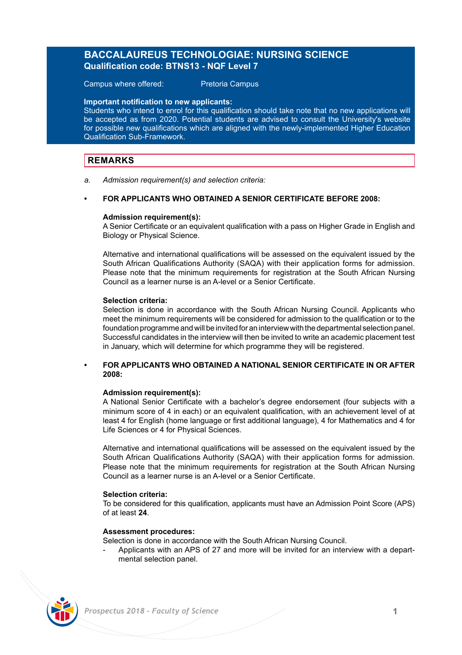# **BACCALAUREUS TECHNOLOGIAE: NURSING SCIENCE Qualification code: BTNS13 - NQF Level 7**

Campus where offered: Pretoria Campus

### **Important notification to new applicants:**

Students who intend to enrol for this qualification should take note that no new applications will be accepted as from 2020. Potential students are advised to consult the University's website for possible new qualifications which are aligned with the newly-implemented Higher Education Qualification Sub-Framework.

## **REMARKS**

*a. Admission requirement(s) and selection criteria:* 

### **• FOR APPLICANTS WHO OBTAINED A SENIOR CERTIFICATE BEFORE 2008:**

### **Admission requirement(s):**

A Senior Certificate or an equivalent qualification with a pass on Higher Grade in English and Biology or Physical Science.

Alternative and international qualifications will be assessed on the equivalent issued by the South African Qualifications Authority (SAQA) with their application forms for admission. Please note that the minimum requirements for registration at the South African Nursing Council as a learner nurse is an A-level or a Senior Certificate.

### **Selection criteria:**

Selection is done in accordance with the South African Nursing Council. Applicants who meet the minimum requirements will be considered for admission to the qualification or to the foundation programme and will be invited for an interview with the departmental selection panel. Successful candidates in the interview will then be invited to write an academic placement test in January, which will determine for which programme they will be registered.

### **• FOR APPLICANTS WHO OBTAINED A NATIONAL SENIOR CERTIFICATE IN OR AFTER 2008:**

### **Admission requirement(s):**

A National Senior Certificate with a bachelor's degree endorsement (four subjects with a minimum score of 4 in each) or an equivalent qualification, with an achievement level of at least 4 for English (home language or first additional language), 4 for Mathematics and 4 for Life Sciences or 4 for Physical Sciences.

Alternative and international qualifications will be assessed on the equivalent issued by the South African Qualifications Authority (SAQA) with their application forms for admission. Please note that the minimum requirements for registration at the South African Nursing Council as a learner nurse is an A-level or a Senior Certificate.

### **Selection criteria:**

To be considered for this qualification, applicants must have an Admission Point Score (APS) of at least **24**.

### **Assessment procedures:**

Selection is done in accordance with the South African Nursing Council.

- Applicants with an APS of 27 and more will be invited for an interview with a departmental selection panel.

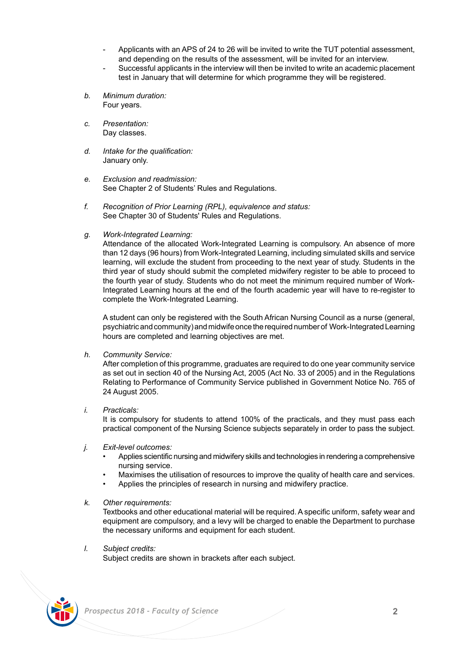- Applicants with an APS of 24 to 26 will be invited to write the TUT potential assessment, and depending on the results of the assessment, will be invited for an interview.
- Successful applicants in the interview will then be invited to write an academic placement test in January that will determine for which programme they will be registered.
- *b. Minimum duration:* Four years.
- *c. Presentation:* Day classes.
- *d. Intake for the qualification:* January only.
- *e. Exclusion and readmission:* See Chapter 2 of Students' Rules and Regulations.
- *f. Recognition of Prior Learning (RPL), equivalence and status:* See Chapter 30 of Students' Rules and Regulations.
- *g. Work-Integrated Learning:*

Attendance of the allocated Work-Integrated Learning is compulsory. An absence of more than 12 days (96 hours) from Work-Integrated Learning, including simulated skills and service learning, will exclude the student from proceeding to the next year of study. Students in the third year of study should submit the completed midwifery register to be able to proceed to the fourth year of study. Students who do not meet the minimum required number of Work-Integrated Learning hours at the end of the fourth academic year will have to re-register to complete the Work-Integrated Learning.

A student can only be registered with the South African Nursing Council as a nurse (general, psychiatric and community) and midwife once the required number of Work-Integrated Learning hours are completed and learning objectives are met.

### *h. Community Service:*

After completion of this programme, graduates are required to do one year community service as set out in section 40 of the Nursing Act, 2005 (Act No. 33 of 2005) and in the Regulations Relating to Performance of Community Service published in Government Notice No. 765 of 24 August 2005.

*i. Practicals:*

It is compulsory for students to attend 100% of the practicals, and they must pass each practical component of the Nursing Science subjects separately in order to pass the subject.

- *j. Exit-level outcomes:*
	- Applies scientific nursing and midwifery skills and technologies in rendering a comprehensive nursing service.
	- Maximises the utilisation of resources to improve the quality of health care and services.
	- Applies the principles of research in nursing and midwifery practice.
- *k. Other requirements:*

Textbooks and other educational material will be required. A specific uniform, safety wear and equipment are compulsory, and a levy will be charged to enable the Department to purchase the necessary uniforms and equipment for each student.

*l. Subject credits:*

Subject credits are shown in brackets after each subject.

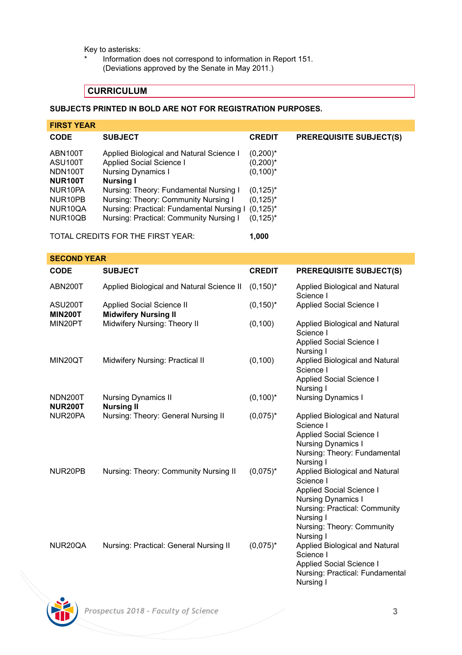Key to asterisks:

Information does not correspond to information in Report 151. (Deviations approved by the Senate in May 2011.)

# **CURRICULUM**

# **SUBJECTS PRINTED IN BOLD ARE NOT FOR REGISTRATION PURPOSES.**

| <b>FIRST YEAR</b>    |                                           |               |                                             |  |  |
|----------------------|-------------------------------------------|---------------|---------------------------------------------|--|--|
| <b>CODE</b>          | <b>SUBJECT</b>                            | <b>CREDIT</b> | <b>PREREQUISITE SUBJECT(S)</b>              |  |  |
| ABN100T              | Applied Biological and Natural Science I  | $(0,200)^*$   |                                             |  |  |
| ASU100T              | Applied Social Science I                  | $(0,200)^*$   |                                             |  |  |
| NDN100T              | <b>Nursing Dynamics I</b>                 | $(0,100)^*$   |                                             |  |  |
| <b>NUR100T</b>       | Nursing I                                 |               |                                             |  |  |
| NUR <sub>10</sub> PA | Nursing: Theory: Fundamental Nursing I    | $(0, 125)^*$  |                                             |  |  |
| NUR10PB              | Nursing: Theory: Community Nursing I      | $(0, 125)^*$  |                                             |  |  |
| NUR10QA              | Nursing: Practical: Fundamental Nursing I | $(0.125)^*$   |                                             |  |  |
| NUR10QB              | Nursing: Practical: Community Nursing I   | $(0, 125)^*$  |                                             |  |  |
|                      | TOTAL CREDITS FOR THE FIRST YEAR:         | 1,000         |                                             |  |  |
|                      |                                           |               |                                             |  |  |
| <b>SECOND YEAR</b>   |                                           |               |                                             |  |  |
| <b>CODE</b>          | <b>SUBJECT</b>                            | <b>CREDIT</b> | <b>PREREQUISITE SUBJECT(S)</b>              |  |  |
| ABN200T              | Applied Biological and Natural Science II | $(0.150)^*$   | Applied Biological and Natural<br>Science I |  |  |

|                           |                                                          |              | Science I                                    |
|---------------------------|----------------------------------------------------------|--------------|----------------------------------------------|
| ASU200T<br><b>MIN200T</b> | Applied Social Science II<br><b>Midwifery Nursing II</b> | $(0, 150)^*$ | Applied Social Science I                     |
| MIN20PT                   | Midwifery Nursing: Theory II                             | (0, 100)     | Applied Biological and Natural<br>Science I  |
|                           |                                                          |              | Applied Social Science I<br>Nursing I        |
| MIN20QT                   | Midwifery Nursing: Practical II                          | (0, 100)     | Applied Biological and Natural<br>Science I  |
|                           |                                                          |              | Applied Social Science I<br>Nursing I        |
| NDN200T<br><b>NUR200T</b> | <b>Nursing Dynamics II</b><br><b>Nursing II</b>          | $(0,100)^*$  | <b>Nursing Dynamics I</b>                    |
| NUR20PA                   | Nursing: Theory: General Nursing II                      | $(0.075)^*$  | Applied Biological and Natural               |
|                           |                                                          |              | Science I                                    |
|                           |                                                          |              | <b>Applied Social Science I</b>              |
|                           |                                                          |              | <b>Nursing Dynamics I</b>                    |
|                           |                                                          |              | Nursing: Theory: Fundamental<br>Nursing I    |
| NUR20PB                   | Nursing: Theory: Community Nursing II                    | $(0.075)^*$  | Applied Biological and Natural<br>Science I  |
|                           |                                                          |              | Applied Social Science I                     |
|                           |                                                          |              | <b>Nursing Dynamics I</b>                    |
|                           |                                                          |              | Nursing: Practical: Community                |
|                           |                                                          |              | Nursing I<br>Nursing: Theory: Community      |
|                           |                                                          |              | Nursing I                                    |
| NUR20QA                   | Nursing: Practical: General Nursing II                   | $(0.075)^*$  | Applied Biological and Natural               |
|                           |                                                          |              | Science I                                    |
|                           |                                                          |              | Applied Social Science I                     |
|                           |                                                          |              | Nursing: Practical: Fundamental<br>Nursing I |
|                           |                                                          |              |                                              |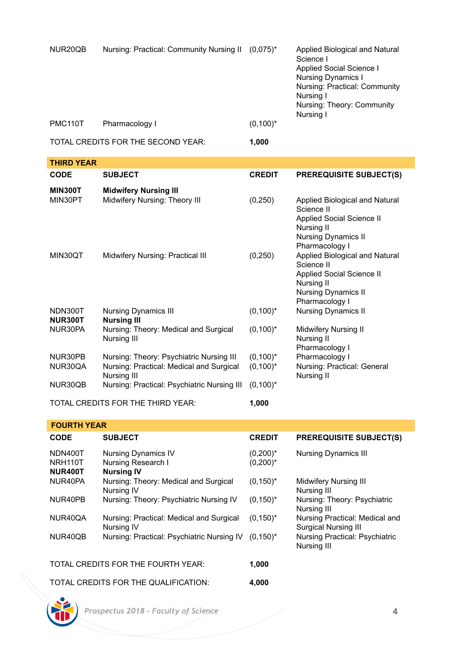| NUR20OB                              | Nursing: Practical: Community Nursing II                                                                                                           | $(0.075)^*$                               | Applied Biological and Natural<br>Science I<br>Applied Social Science I<br><b>Nursing Dynamics I</b><br>Nursing: Practical: Community<br>Nursing I<br>Nursing: Theory: Community                                                                                                   |
|--------------------------------------|----------------------------------------------------------------------------------------------------------------------------------------------------|-------------------------------------------|------------------------------------------------------------------------------------------------------------------------------------------------------------------------------------------------------------------------------------------------------------------------------------|
| <b>PMC110T</b>                       | Pharmacology I                                                                                                                                     | $(0,100)^*$                               | Nursing I                                                                                                                                                                                                                                                                          |
|                                      | TOTAL CREDITS FOR THE SECOND YEAR:                                                                                                                 | 1,000                                     |                                                                                                                                                                                                                                                                                    |
| <b>THIRD YEAR</b>                    |                                                                                                                                                    |                                           |                                                                                                                                                                                                                                                                                    |
| CODE                                 | <b>SUBJECT</b>                                                                                                                                     | <b>CREDIT</b>                             | <b>PREREQUISITE SUBJECT(S)</b>                                                                                                                                                                                                                                                     |
| <b>MIN300T</b><br>MIN30PT<br>MIN30OT | <b>Midwifery Nursing III</b><br>Midwifery Nursing: Theory III<br>Midwifery Nursing: Practical III                                                  | (0, 250)<br>(0, 250)                      | Applied Biological and Natural<br>Science II<br>Applied Social Science II<br>Nursing II<br><b>Nursing Dynamics II</b><br>Pharmacology I<br>Applied Biological and Natural<br>Science II<br>Applied Social Science II<br>Nursing II<br><b>Nursing Dynamics II</b><br>Pharmacology I |
| NDN300T<br><b>NUR300T</b><br>NUR30PA | <b>Nursing Dynamics III</b><br><b>Nursina III</b><br>Nursing: Theory: Medical and Surgical<br>Nursing III                                          | $(0,100)^*$<br>$(0,100)^*$                | <b>Nursing Dynamics II</b><br><b>Midwifery Nursing II</b><br>Nursing II                                                                                                                                                                                                            |
| NUR30PB<br>NUR30QA<br>NUR30QB        | Nursing: Theory: Psychiatric Nursing III<br>Nursing: Practical: Medical and Surgical<br>Nursing III<br>Nursing: Practical: Psychiatric Nursing III | $(0,100)^*$<br>$(0,100)^*$<br>$(0,100)^*$ | Pharmacology I<br>Pharmacology I<br>Nursing: Practical: General<br>Nursing II                                                                                                                                                                                                      |
| TOTAL CREDITS FOR THE THIRD YEAR:    |                                                                                                                                                    | 1.000                                     |                                                                                                                                                                                                                                                                                    |

| <b>FOURTH YEAR</b>                            |                                                                       |                            |                                                               |  |  |
|-----------------------------------------------|-----------------------------------------------------------------------|----------------------------|---------------------------------------------------------------|--|--|
| <b>CODE</b>                                   | <b>SUBJECT</b>                                                        | <b>CREDIT</b>              | <b>PREREQUISITE SUBJECT(S)</b>                                |  |  |
| NDN400T<br>NRH110T<br><b>NUR400T</b>          | <b>Nursing Dynamics IV</b><br>Nursing Research I<br><b>Nursing IV</b> | $(0,200)^*$<br>$(0,200)^*$ | <b>Nursing Dynamics III</b>                                   |  |  |
| NUR40PA                                       | Nursing: Theory: Medical and Surgical<br><b>Nursing IV</b>            | $(0, 150)^*$               | <b>Midwifery Nursing III</b><br>Nursing III                   |  |  |
| NUR40PB                                       | Nursing: Theory: Psychiatric Nursing IV                               | $(0, 150)^*$               | Nursing: Theory: Psychiatric<br>Nursing III                   |  |  |
| NUR40QA                                       | Nursing: Practical: Medical and Surgical<br>Nursing IV                | $(0, 150)^*$               | Nursing Practical: Medical and<br><b>Surgical Nursing III</b> |  |  |
| NUR40QB                                       | Nursing: Practical: Psychiatric Nursing IV                            | $(0.150)^*$                | Nursing Practical: Psychiatric<br>Nursing III                 |  |  |
| TOTAL CREDITS FOR THE FOURTH YEAR:            |                                                                       | 1,000                      |                                                               |  |  |
| TOTAL CREDITS FOR THE QUALIFICATION:<br>4.000 |                                                                       |                            |                                                               |  |  |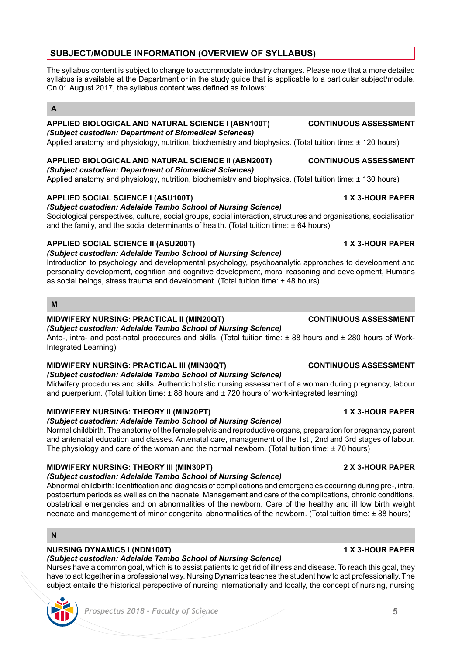# **SUBJECT/MODULE INFORMATION (OVERVIEW OF SYLLABUS)**

The syllabus content is subject to change to accommodate industry changes. Please note that a more detailed syllabus is available at the Department or in the study guide that is applicable to a particular subject/module. On 01 August 2017, the syllabus content was defined as follows:

# **A**

# **APPLIED BIOLOGICAL AND NATURAL SCIENCE I (ABN100T) CONTINUOUS ASSESSMENT**

*(Subject custodian: Department of Biomedical Sciences)*

Applied anatomy and physiology, nutrition, biochemistry and biophysics. (Total tuition time: ± 120 hours)

### **APPLIED BIOLOGICAL AND NATURAL SCIENCE II (ABN200T) CONTINUOUS ASSESSMENT** *(Subject custodian: Department of Biomedical Sciences)*

Applied anatomy and physiology, nutrition, biochemistry and biophysics. (Total tuition time: ± 130 hours)

# **APPLIED SOCIAL SCIENCE I (ASU100T) 1 X 3-HOUR PAPER**

*(Subject custodian: Adelaide Tambo School of Nursing Science)*

Sociological perspectives, culture, social groups, social interaction, structures and organisations, socialisation and the family, and the social determinants of health. (Total tuition time:  $\pm$  64 hours)

# **APPLIED SOCIAL SCIENCE II (ASU200T) 1 X 3-HOUR PAPER**

# *(Subject custodian: Adelaide Tambo School of Nursing Science)*

Introduction to psychology and developmental psychology, psychoanalytic approaches to development and personality development, cognition and cognitive development, moral reasoning and development, Humans as social beings, stress trauma and development. (Total tuition time: ± 48 hours)

## **M**

# **MIDWIFERY NURSING: PRACTICAL II (MIN20QT) CONTINUOUS ASSESSMENT**

# *(Subject custodian: Adelaide Tambo School of Nursing Science)*

Ante-, intra- and post-natal procedures and skills. (Total tuition time: ± 88 hours and ± 280 hours of Work-Integrated Learning)

# **MIDWIFERY NURSING: PRACTICAL III (MIN30QT) CONTINUOUS ASSESSMENT**

# *(Subject custodian: Adelaide Tambo School of Nursing Science)*

Midwifery procedures and skills. Authentic holistic nursing assessment of a woman during pregnancy, labour and puerperium. (Total tuition time:  $\pm$  88 hours and  $\pm$  720 hours of work-integrated learning)

# **MIDWIFERY NURSING: THEORY II (MIN20PT) 1 X 3-HOUR PAPER**

# *(Subject custodian: Adelaide Tambo School of Nursing Science)*

Normal childbirth. The anatomy of the female pelvis and reproductive organs, preparation for pregnancy, parent and antenatal education and classes. Antenatal care, management of the 1st , 2nd and 3rd stages of labour. The physiology and care of the woman and the normal newborn. (Total tuition time: ± 70 hours)

# **MIDWIFERY NURSING: THEORY III (MIN30PT) 2 X 3-HOUR PAPER**

# *(Subject custodian: Adelaide Tambo School of Nursing Science)*

Abnormal childbirth: Identification and diagnosis of complications and emergencies occurring during pre-, intra, postpartum periods as well as on the neonate. Management and care of the complications, chronic conditions, obstetrical emergencies and on abnormalities of the newborn. Care of the healthy and ill low birth weight neonate and management of minor congenital abnormalities of the newborn. (Total tuition time: ± 88 hours)

# **N**

# **NURSING DYNAMICS I (NDN100T) 1 X 3-HOUR PAPER**

*(Subject custodian: Adelaide Tambo School of Nursing Science)* Nurses have a common goal, which is to assist patients to get rid of illness and disease. To reach this goal, they have to act together in a professional way. Nursing Dynamics teaches the student how to act professionally. The subject entails the historical perspective of nursing internationally and locally, the concept of nursing, nursing

# *Prospectus 2018 - Faculty of Science* **5**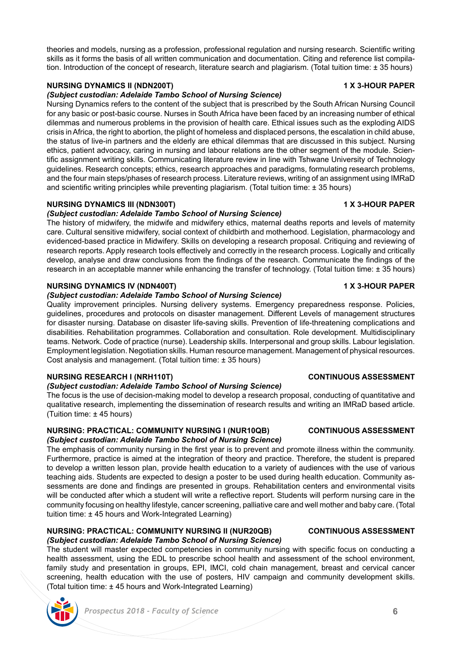theories and models, nursing as a profession, professional regulation and nursing research. Scientific writing skills as it forms the basis of all written communication and documentation. Citing and reference list compilation. Introduction of the concept of research, literature search and plagiarism. (Total tuition time: ± 35 hours)

## **NURSING DYNAMICS II (NDN200T) 1 X 3-HOUR PAPER**

*(Subject custodian: Adelaide Tambo School of Nursing Science)*

Nursing Dynamics refers to the content of the subject that is prescribed by the South African Nursing Council for any basic or post-basic course. Nurses in South Africa have been faced by an increasing number of ethical dilemmas and numerous problems in the provision of health care. Ethical issues such as the exploding AIDS crisis in Africa, the right to abortion, the plight of homeless and displaced persons, the escalation in child abuse, the status of live-in partners and the elderly are ethical dilemmas that are discussed in this subject. Nursing ethics, patient advocacy, caring in nursing and labour relations are the other segment of the module. Scientific assignment writing skills. Communicating literature review in line with Tshwane University of Technology guidelines. Research concepts; ethics, research approaches and paradigms, formulating research problems, and the four main steps/phases of research process. Literature reviews, writing of an assignment using IMRaD and scientific writing principles while preventing plagiarism. (Total tuition time: ± 35 hours)

## **NURSING DYNAMICS III (NDN300T) 1 X 3-HOUR PAPER**

### *(Subject custodian: Adelaide Tambo School of Nursing Science)*

The history of midwifery, the midwife and midwifery ethics, maternal deaths reports and levels of maternity care. Cultural sensitive midwifery, social context of childbirth and motherhood. Legislation, pharmacology and evidenced-based practice in Midwifery. Skills on developing a research proposal. Critiquing and reviewing of research reports. Apply research tools effectively and correctly in the research process. Logically and critically develop, analyse and draw conclusions from the findings of the research. Communicate the findings of the research in an acceptable manner while enhancing the transfer of technology. (Total tuition time: ± 35 hours)

### **NURSING DYNAMICS IV (NDN400T) 1 X 3-HOUR PAPER**

### *(Subject custodian: Adelaide Tambo School of Nursing Science)*

Quality improvement principles. Nursing delivery systems. Emergency preparedness response. Policies, guidelines, procedures and protocols on disaster management. Different Levels of management structures for disaster nursing. Database on disaster life-saving skills. Prevention of life-threatening complications and disabilities. Rehabilitation programmes. Collaboration and consultation. Role development. Multidisciplinary teams. Network. Code of practice (nurse). Leadership skills. Interpersonal and group skills. Labour legislation. Employment legislation. Negotiation skills. Human resource management. Management of physical resources. Cost analysis and management. (Total tuition time: ± 35 hours)

## **NURSING RESEARCH I (NRH110T) CONTINUOUS ASSESSMENT**

### *(Subject custodian: Adelaide Tambo School of Nursing Science)*

The focus is the use of decision-making model to develop a research proposal, conducting of quantitative and qualitative research, implementing the dissemination of research results and writing an IMRaD based article. (Tuition time: ± 45 hours)

### **NURSING: PRACTICAL: COMMUNITY NURSING I (NUR10QB) CONTINUOUS ASSESSMENT** *(Subject custodian: Adelaide Tambo School of Nursing Science)*

The emphasis of community nursing in the first year is to prevent and promote illness within the community. Furthermore, practice is aimed at the integration of theory and practice. Therefore, the student is prepared to develop a written lesson plan, provide health education to a variety of audiences with the use of various teaching aids. Students are expected to design a poster to be used during health education. Community assessments are done and findings are presented in groups. Rehabilitation centers and environmental visits will be conducted after which a student will write a reflective report. Students will perform nursing care in the community focusing on healthy lifestyle, cancer screening, palliative care and well mother and baby care. (Total tuition time: ± 45 hours and Work-Integrated Learning)

### **NURSING: PRACTICAL: COMMUNITY NURSING II (NUR20QB) CONTINUOUS ASSESSMENT** *(Subject custodian: Adelaide Tambo School of Nursing Science)*

The student will master expected competencies in community nursing with specific focus on conducting a health assessment, using the EDL to prescribe school health and assessment of the school environment. family study and presentation in groups, EPI, IMCI, cold chain management, breast and cervical cancer screening, health education with the use of posters, HIV campaign and community development skills. (Total tuition time: ± 45 hours and Work-Integrated Learning)

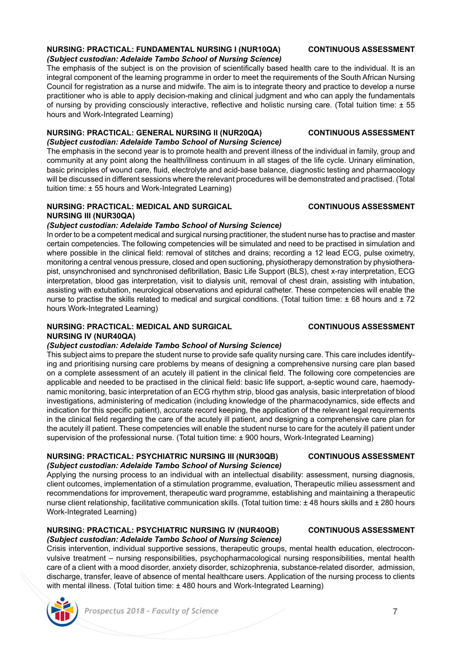# **NURSING: PRACTICAL: FUNDAMENTAL NURSING I (NUR10QA) CONTINUOUS ASSESSMENT**

## *(Subject custodian: Adelaide Tambo School of Nursing Science)*

The emphasis of the subject is on the provision of scientifically based health care to the individual. It is an integral component of the learning programme in order to meet the requirements of the South African Nursing Council for registration as a nurse and midwife. The aim is to integrate theory and practice to develop a nurse practitioner who is able to apply decision-making and clinical judgment and who can apply the fundamentals of nursing by providing consciously interactive, reflective and holistic nursing care. (Total tuition time: ± 55 hours and Work-Integrated Learning)

# **NURSING: PRACTICAL: GENERAL NURSING II (NUR20QA) CONTINUOUS ASSESSMENT**

## *(Subject custodian: Adelaide Tambo School of Nursing Science)*

The emphasis in the second year is to promote health and prevent illness of the individual in family, group and community at any point along the health/illness continuum in all stages of the life cycle. Urinary elimination, basic principles of wound care, fluid, electrolyte and acid-base balance, diagnostic testing and pharmacology will be discussed in different sessions where the relevant procedures will be demonstrated and practised. (Total tuition time: ± 55 hours and Work-Integrated Learning)

## **NURSING: PRACTICAL: MEDICAL AND SURGICAL CONTINUOUS ASSESSMENT NURSING III (NUR30QA)**

# *(Subject custodian: Adelaide Tambo School of Nursing Science)*

In order to be a competent medical and surgical nursing practitioner, the student nurse has to practise and master certain competencies. The following competencies will be simulated and need to be practised in simulation and where possible in the clinical field: removal of stitches and drains; recording a 12 lead ECG, pulse oximetry, monitoring a central venous pressure, closed and open suctioning, physiotherapy demonstration by physiotherapist, unsynchronised and synchronised defibrillation, Basic Life Support (BLS), chest x-ray interpretation, ECG interpretation, blood gas interpretation, visit to dialysis unit, removal of chest drain, assisting with intubation, assisting with extubation, neurological observations and epidural catheter. These competencies will enable the nurse to practise the skills related to medical and surgical conditions. (Total tuition time:  $\pm$  68 hours and  $\pm$  72 hours Work-Integrated Learning)

## **NURSING: PRACTICAL: MEDICAL AND SURGICAL CONTINUOUS ASSESSMENT NURSING IV (NUR40QA)**

# *(Subject custodian: Adelaide Tambo School of Nursing Science)*

This subject aims to prepare the student nurse to provide safe quality nursing care. This care includes identifying and prioritising nursing care problems by means of designing a comprehensive nursing care plan based on a complete assessment of an acutely ill patient in the clinical field. The following core competencies are applicable and needed to be practised in the clinical field: basic life support, a-septic wound care, haemodynamic monitoring, basic interpretation of an ECG rhythm strip, blood gas analysis, basic interpretation of blood investigations, administering of medication (including knowledge of the pharmacodynamics, side effects and indication for this specific patient), accurate record keeping, the application of the relevant legal requirements in the clinical field regarding the care of the acutely ill patient, and designing a comprehensive care plan for the acutely ill patient. These competencies will enable the student nurse to care for the acutely ill patient under supervision of the professional nurse. (Total tuition time: ± 900 hours, Work-Integrated Learning)

## **NURSING: PRACTICAL: PSYCHIATRIC NURSING III (NUR30QB) CONTINUOUS ASSESSMENT** *(Subject custodian: Adelaide Tambo School of Nursing Science)*

Applying the nursing process to an individual with an intellectual disability: assessment, nursing diagnosis, client outcomes, implementation of a stimulation programme, evaluation, Therapeutic milieu assessment and recommendations for improvement, therapeutic ward programme, establishing and maintaining a therapeutic nurse client relationship, facilitative communication skills. (Total tuition time: ± 48 hours skills and ± 280 hours Work-Integrated Learning)

## **NURSING: PRACTICAL: PSYCHIATRIC NURSING IV (NUR40QB) CONTINUOUS ASSESSMENT** *(Subject custodian: Adelaide Tambo School of Nursing Science)*

Crisis intervention, individual supportive sessions, therapeutic groups, mental health education, electroconvulsive treatment – nursing responsibilities, psychopharmacological nursing responsibilities, mental health care of a client with a mood disorder, anxiety disorder, schizophrenia, substance-related disorder, admission, discharge, transfer, leave of absence of mental healthcare users. Application of the nursing process to clients with mental illness. (Total tuition time: +480 hours and Work-Integrated Learning)



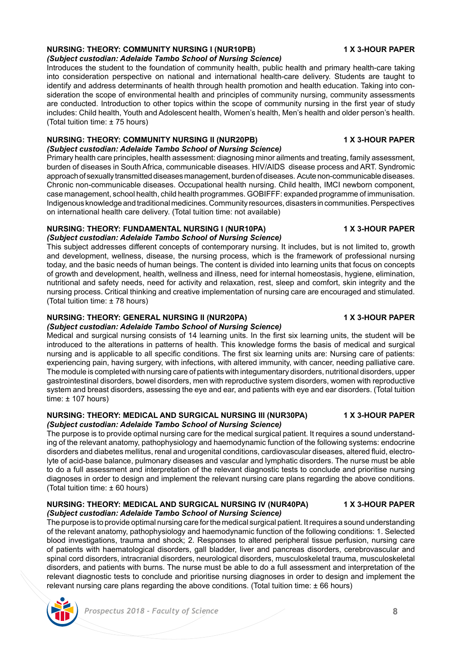## **NURSING: THEORY: COMMUNITY NURSING I (NUR10PB) 1 X 3-HOUR PAPER** *(Subject custodian: Adelaide Tambo School of Nursing Science)*

Introduces the student to the foundation of community health, public health and primary health-care taking into consideration perspective on national and international health-care delivery. Students are taught to identify and address determinants of health through health promotion and health education. Taking into consideration the scope of environmental health and principles of community nursing, community assessments are conducted. Introduction to other topics within the scope of community nursing in the first year of study includes: Child health, Youth and Adolescent health, Women's health, Men's health and older person's health. (Total tuition time: ± 75 hours)

# **NURSING: THEORY: COMMUNITY NURSING II (NUR20PB) 1 X 3-HOUR PAPER**

*(Subject custodian: Adelaide Tambo School of Nursing Science)*

Primary health care principles, health assessment: diagnosing minor ailments and treating, family assessment, burden of diseases in South Africa, communicable diseases. HIV/AIDS disease process and ART. Syndromic approach of sexually transmitted diseases management, burden of diseases. Acute non-communicable diseases. Chronic non-communicable diseases. Occupational health nursing. Child health, IMCI newborn component, case management, school health, child health programmes. GOBIFFF: expanded programme of immunisation. Indigenous knowledge and traditional medicines. Community resources, disasters in communities. Perspectives on international health care delivery. (Total tuition time: not available)

# **NURSING: THEORY: FUNDAMENTAL NURSING I (NUR10PA) 1 X 3-HOUR PAPER**

*(Subject custodian: Adelaide Tambo School of Nursing Science)*

This subject addresses different concepts of contemporary nursing. It includes, but is not limited to, growth and development, wellness, disease, the nursing process, which is the framework of professional nursing today, and the basic needs of human beings. The content is divided into learning units that focus on concepts of growth and development, health, wellness and illness, need for internal homeostasis, hygiene, elimination, nutritional and safety needs, need for activity and relaxation, rest, sleep and comfort, skin integrity and the nursing process. Critical thinking and creative implementation of nursing care are encouraged and stimulated. (Total tuition time: ± 78 hours)

## **NURSING: THEORY: GENERAL NURSING II (NUR20PA) 1 X 3-HOUR PAPER**

## *(Subject custodian: Adelaide Tambo School of Nursing Science)*

Medical and surgical nursing consists of 14 learning units. In the first six learning units, the student will be introduced to the alterations in patterns of health. This knowledge forms the basis of medical and surgical nursing and is applicable to all specific conditions. The first six learning units are: Nursing care of patients: experiencing pain, having surgery, with infections, with altered immunity, with cancer, needing palliative care. The module is completed with nursing care of patients with integumentary disorders, nutritional disorders, upper gastrointestinal disorders, bowel disorders, men with reproductive system disorders, women with reproductive system and breast disorders, assessing the eye and ear, and patients with eye and ear disorders. (Total tuition time: ± 107 hours)

### **NURSING: THEORY: MEDICAL AND SURGICAL NURSING III (NUR30PA) 1 X 3-HOUR PAPER** *(Subject custodian: Adelaide Tambo School of Nursing Science)*

The purpose is to provide optimal nursing care for the medical surgical patient. It requires a sound understanding of the relevant anatomy, pathophysiology and haemodynamic function of the following systems: endocrine disorders and diabetes mellitus, renal and urogenital conditions, cardiovascular diseases, altered fluid, electrolyte of acid-base balance, pulmonary diseases and vascular and lymphatic disorders. The nurse must be able to do a full assessment and interpretation of the relevant diagnostic tests to conclude and prioritise nursing diagnoses in order to design and implement the relevant nursing care plans regarding the above conditions. (Total tuition time: ± 60 hours)

### **NURSING: THEORY: MEDICAL AND SURGICAL NURSING IV (NUR40PA) 1 X 3-HOUR PAPER** *(Subject custodian: Adelaide Tambo School of Nursing Science)*

The purpose is to provide optimal nursing care for the medical surgical patient. It requires a sound understanding of the relevant anatomy, pathophysiology and haemodynamic function of the following conditions: 1. Selected blood investigations, trauma and shock; 2. Responses to altered peripheral tissue perfusion, nursing care of patients with haematological disorders, gall bladder, liver and pancreas disorders, cerebrovascular and spinal cord disorders, intracranial disorders, neurological disorders, musculoskeletal trauma, musculoskeletal disorders, and patients with burns. The nurse must be able to do a full assessment and interpretation of the relevant diagnostic tests to conclude and prioritise nursing diagnoses in order to design and implement the relevant nursing care plans regarding the above conditions. (Total tuition time:  $\pm 66$  hours)

 *Prospectus 2018 - Faculty of Science* **8**